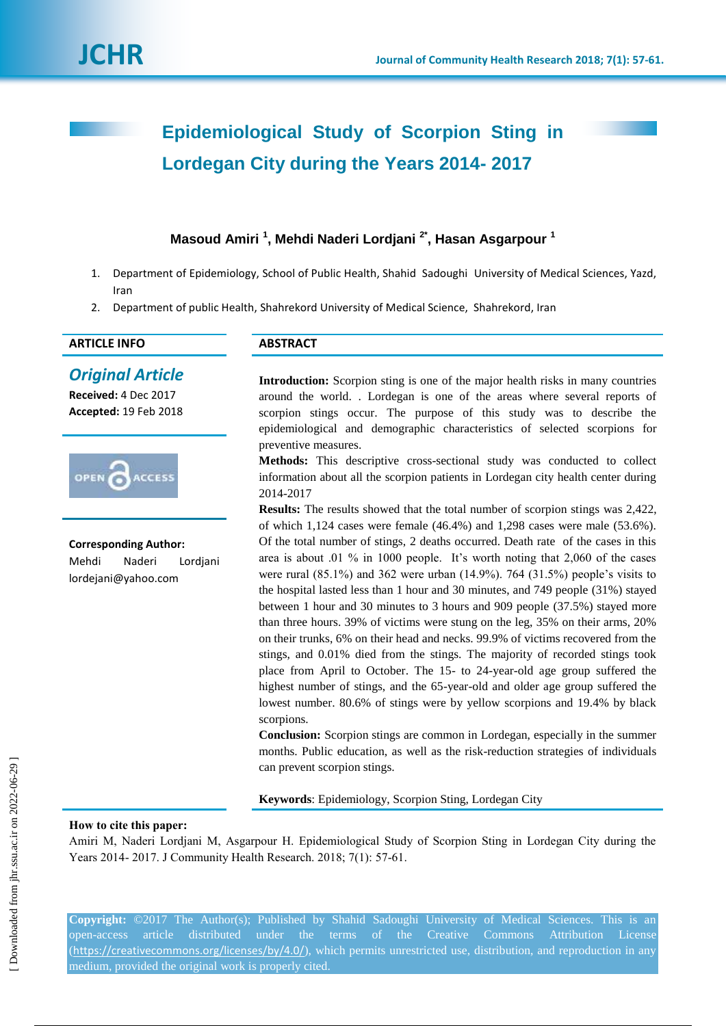# **Epidemiological Study of Scorpion Sting in Lordegan City during the Years 2014- 2017**

# **Masoud Amiri <sup>1</sup> , Mehdi Naderi Lordjani 2\* , Hasan Asgarpour <sup>1</sup>**

- 1. Department of Epidemiology, School of Public Health, Shahid Sadoughi University of Medical Sciences, Yazd, Iran
- 2. Department of public Health, Shahrekord University of Medical Science, Shahrekord, Iran

## **ARTICLE INFO ABSTRACT**

# *Original Article*

**Received:** 4 Dec 2017 **Accepted:** 19 Feb 2018



**Corresponding Author:** Mehdi Naderi Lordjani lordejani@yahoo.com

**Introduction:** Scorpion sting is one of the major health risks in many countries around the world. . Lordegan is one of the areas where several reports of scorpion stings occur. The purpose of this study was to describe the epidemiological and demographic characteristics of selected scorpions for preventive measures.

**Methods:** This descriptive cross-sectional study was conducted to collect information about all the scorpion patients in Lordegan city health center during 2014-2017

**Results:** The results showed that the total number of scorpion stings was 2,422, of which 1,124 cases were female (46.4%) and 1,298 cases were male (53.6%). Of the total number of stings, 2 deaths occurred. Death rate of the cases in this area is about .01 % in 1000 people. It's worth noting that 2,060 of the cases were rural  $(85.1\%)$  and 362 were urban  $(14.9\%)$ . 764  $(31.5\%)$  people's visits to the hospital lasted less than 1 hour and 30 minutes, and 749 people (31%) stayed between 1 hour and 30 minutes to 3 hours and 909 people (37.5%) stayed more than three hours. 39% of victims were stung on the leg, 35% on their arms, 20% on their trunks, 6% on their head and necks. 99.9% of victims recovered from the stings, and 0.01% died from the stings. The majority of recorded stings took place from April to October. The 15- to 24-year-old age group suffered the highest number of stings, and the 65-year-old and older age group suffered the lowest number. 80.6% of stings were by yellow scorpions and 19.4% by black scorpions.

**Conclusion:** Scorpion stings are common in Lordegan, especially in the summer months. Public education, as well as the risk-reduction strategies of individuals can prevent scorpion stings.

**Keywords**: Epidemiology, Scorpion Sting, Lordegan City

#### **How to cite this paper:**

Amiri M, Naderi Lordjani M, Asgarpour H. Epidemiological Study of Scorpion Sting in Lordegan City during the Years 2014- 2017. J Community Health Research. 2018; 7(1): 57-61.

**Copyright:** ©2017 The Author(s); Published by Shahid Sadoughi University of Medical Sciences. This is an open-access article distributed under the terms of the Creative Commons Attribution License (<https://creativecommons.org/licenses/by/4.0/>), which permits unrestricted use, distribution, and reproduction in any medium, provided the original work is properly cited.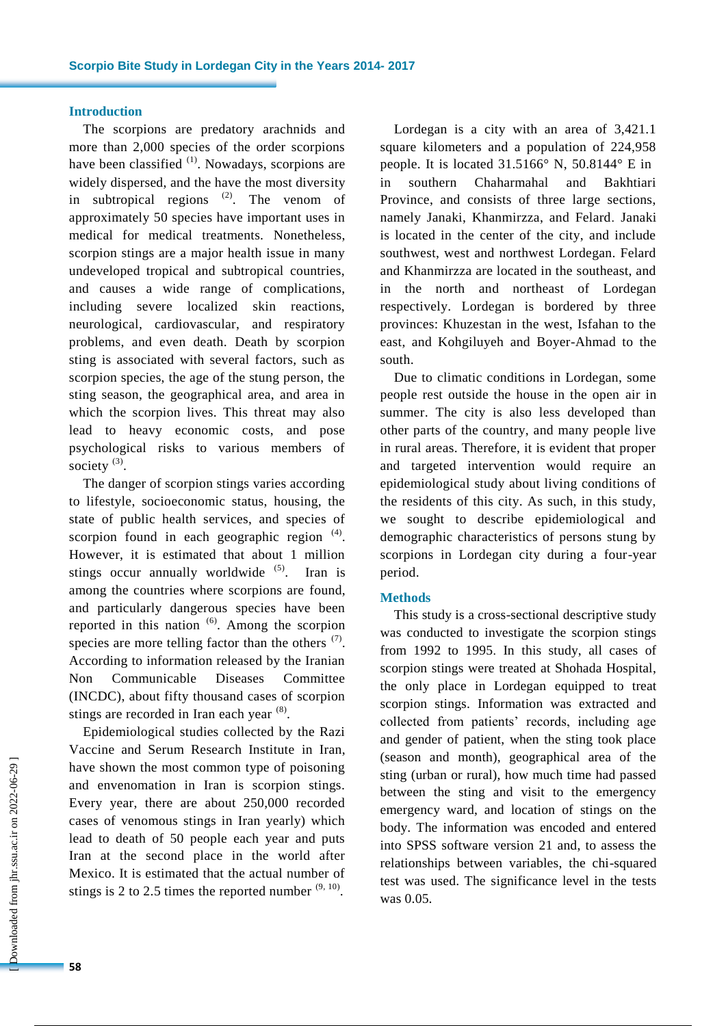#### **Introduction**

The scorpions are predatory arachnids and more than 2,000 species of the order scorpions have been classified  $(1)$ . Nowadays, scorpions are widely dispersed, and the have the most diversity in subtropical regions  $(2)$ . The venom of approximately 50 species have important uses in medical for medical treatments. Nonetheless, scorpion stings are a major health issue in many undeveloped tropical and subtropical countries, and causes a wide range of complications, including severe localized skin reactions, neurological, cardiovascular, and respiratory problems, and even death. Death by scorpion sting is associated with several factors, such as scorpion species, the age of the stung person, the sting season, the geographical area, and area in which the scorpion lives. This threat may also lead to heavy economic costs, and pose psychological risks to various members of society  $^{(3)}$ .

The danger of scorpion stings varies according to lifestyle, socioeconomic status, housing, the state of public health services, and species of scorpion found in each geographic region  $(4)$ . However, it is estimated that about 1 million stings occur annually worldwide  $(5)$ . Iran is among the countries where scorpions are found, and particularly dangerous species have been reported in this nation  $(6)$ . Among the scorpion species are more telling factor than the others  $(7)$ . According to information released by the Iranian Non Communicable Diseases Committee (INCDC), about fifty thousand cases of scorpion stings are recorded in Iran each year  $(8)$ .

Epidemiological studies collected by the Razi Vaccine and Serum Research Institute in Iran, have shown the most common type of poisoning and envenomation in Iran is scorpion stings. Every year, there are about 250,000 recorded cases of venomous stings in Iran yearly) which lead to death of 50 people each year and puts Iran at the second place in the world after Mexico. It is estimated that the actual number of stings is 2 to 2.5 times the reported number  $(9, 10)$ .

Lordegan is a city with an area of 3,421.1 square kilometers and a population of 224,958 people. It is located 31.5166° N, 50.8144° E in in southern Chaharmahal and Bakhtiari Province, and consists of three large sections, namely Janaki, Khanmirzza, and Felard. Janaki is located in the center of the city, and include southwest, west and northwest Lordegan. Felard and Khanmirzza are located in the southeast, and in the north and northeast of Lordegan respectively. Lordegan is bordered by three provinces: Khuzestan in the west, Isfahan to the east, and Kohgiluyeh and Boyer-Ahmad to the south.

Due to climatic conditions in Lordegan, some people rest outside the house in the open air in summer. The city is also less developed than other parts of the country, and many people live in rural areas. Therefore, it is evident that proper and targeted intervention would require an epidemiological study about living conditions of the residents of this city. As such, in this study, we sought to describe epidemiological and demographic characteristics of persons stung by scorpions in Lordegan city during a four-year period.

#### **Methods**

This study is a cross-sectional descriptive study was conducted to investigate the scorpion stings from 1992 to 1995. In this study, all cases of scorpion stings were treated at Shohada Hospital, the only place in Lordegan equipped to treat scorpion stings. Information was extracted and collected from patients' records, including age and gender of patient, when the sting took place (season and month), geographical area of the sting (urban or rural), how much time had passed between the sting and visit to the emergency emergency ward, and location of stings on the body. The information was encoded and entered into SPSS software version 21 and, to assess the relationships between variables, the chi-squared test was used. The significance level in the tests was 0.05.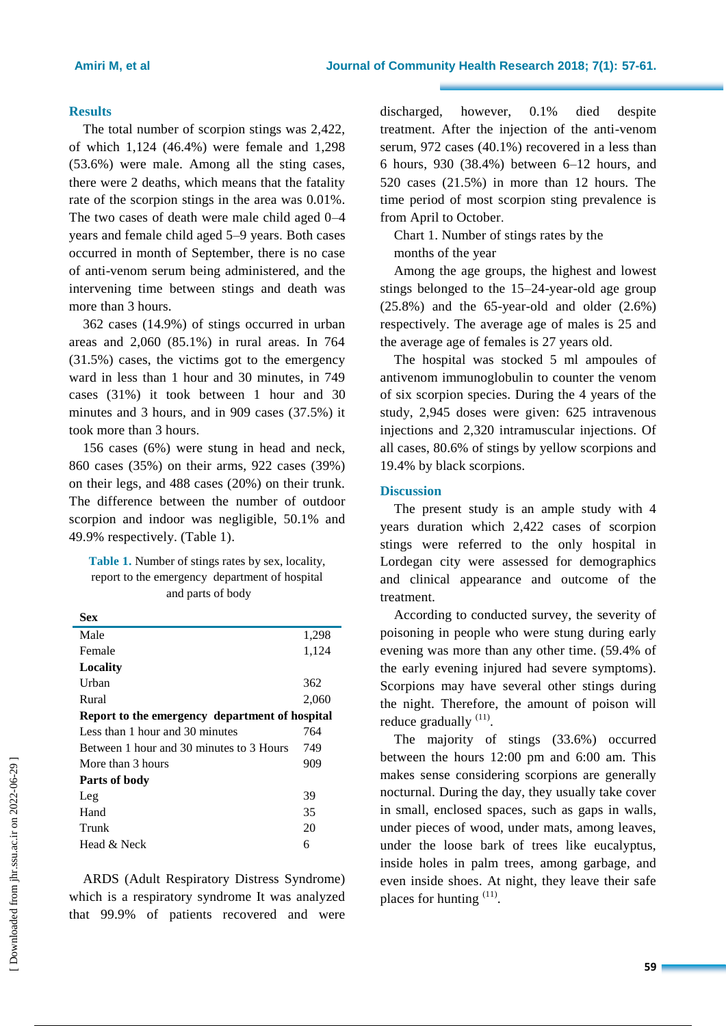#### **Results**

The total number of scorpion stings was 2,422, of which 1,124 (46.4%) were female and 1,298 (53.6%) were male. Among all the sting cases, there were 2 deaths, which means that the fatality rate of the scorpion stings in the area was 0.01%. The two cases of death were male child aged 0–4 years and female child aged 5–9 years. Both cases occurred in month of September, there is no case of anti-venom serum being administered, and the intervening time between stings and death was more than 3 hours.

362 cases (14.9%) of stings occurred in urban areas and 2,060 (85.1%) in rural areas. In 764 (31.5%) cases, the victims got to the emergency ward in less than 1 hour and 30 minutes, in 749 cases (31%) it took between 1 hour and 30 minutes and 3 hours, and in 909 cases (37.5%) it took more than 3 hours.

156 cases (6%) were stung in head and neck, 860 cases (35%) on their arms, 922 cases (39%) on their legs, and 488 cases (20%) on their trunk. The difference between the number of outdoor scorpion and indoor was negligible, 50.1% and 49.9% respectively. (Table 1).

**Table 1.** Number of stings rates by sex, locality, report to the emergency department of hospital and parts of body

| Sex                                            |       |
|------------------------------------------------|-------|
| Male                                           | 1,298 |
| Female                                         | 1,124 |
| Locality                                       |       |
| Urban                                          | 362   |
| Rural                                          | 2,060 |
| Report to the emergency department of hospital |       |
| Less than 1 hour and 30 minutes                | 764   |
| Between 1 hour and 30 minutes to 3 Hours       | 749   |
| More than 3 hours                              | 909   |
| Parts of body                                  |       |
| Leg                                            | 39    |
| Hand                                           | 35    |
| Trunk                                          | 20    |
| Head & Neck                                    | 6     |

ARDS (Adult Respiratory Distress Syndrome) which is a respiratory syndrome It was analyzed that 99.9% of patients recovered and were discharged, however, 0.1% died despite treatment. After the injection of the anti-venom serum, 972 cases (40.1%) recovered in a less than 6 hours, 930 (38.4%) between 6–12 hours, and 520 cases (21.5%) in more than 12 hours. The time period of most scorpion sting prevalence is from April to October.

Chart 1. Number of stings rates by the months of the year

Among the age groups, the highest and lowest stings belonged to the 15–24-year-old age group (25.8%) and the 65-year-old and older (2.6%) respectively. The average age of males is 25 and the average age of females is 27 years old.

The hospital was stocked 5 ml ampoules of antivenom immunoglobulin to counter the venom of six scorpion species. During the 4 years of the study, 2,945 doses were given: 625 intravenous injections and 2,320 intramuscular injections. Of all cases, 80.6% of stings by yellow scorpions and 19.4% by black scorpions.

#### **Discussion**

The present study is an ample study with 4 years duration which 2,422 cases of scorpion stings were referred to the only hospital in Lordegan city were assessed for demographics and clinical appearance and outcome of the treatment.

According to conducted survey, the severity of poisoning in people who were stung during early evening was more than any other time. (59.4% of the early evening injured had severe symptoms). Scorpions may have several other stings during the night. Therefore, the amount of poison will reduce gradually  $(11)$ .

The majority of stings (33.6%) occurred between the hours 12:00 pm and 6:00 am. This makes sense considering scorpions are generally nocturnal. During the day, they usually take cover in small, enclosed spaces, such as gaps in walls, under pieces of wood, under mats, among leaves, under the loose bark of trees like eucalyptus, inside holes in palm trees, among garbage, and even inside shoes. At night, they leave their safe places for hunting <sup>(11)</sup>.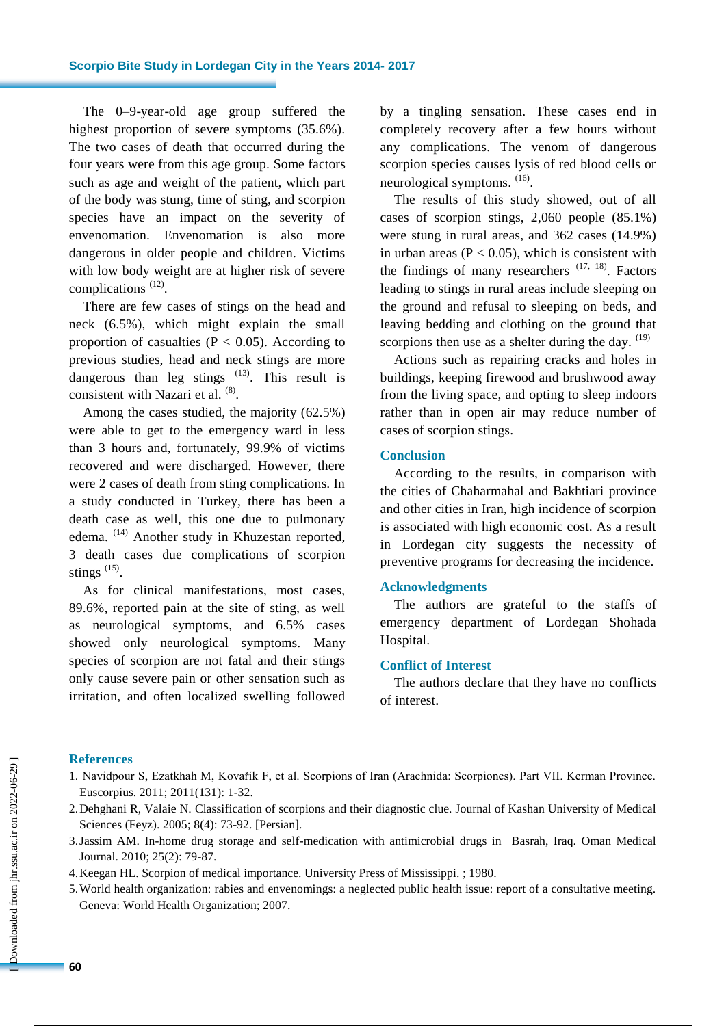The 0–9-year-old age group suffered the highest proportion of severe symptoms (35.6%). The two cases of death that occurred during the four years were from this age group. Some factors such as age and weight of the patient, which part of the body was stung, time of sting, and scorpion species have an impact on the severity of envenomation. Envenomation is also more dangerous in older people and children. Victims with low body weight are at higher risk of severe complications<sup>(12)</sup>.

There are few cases of stings on the head and neck (6.5%), which might explain the small proportion of casualties ( $P < 0.05$ ). According to previous studies, head and neck stings are more dangerous than leg stings  $(13)$ . This result is consistent with Nazari et al. <sup>(8)</sup>.

Among the cases studied, the majority (62.5%) were able to get to the emergency ward in less than 3 hours and, fortunately, 99.9% of victims recovered and were discharged. However, there were 2 cases of death from sting complications. In a study conducted in Turkey, there has been a death case as well, this one due to pulmonary edema. (14) Another study in Khuzestan reported, 3 death cases due complications of scorpion stings  $(15)$ .

As for clinical manifestations, most cases, 89.6%, reported pain at the site of sting, as well as neurological symptoms, and 6.5% cases showed only neurological symptoms. Many species of scorpion are not fatal and their stings only cause severe pain or other sensation such as irritation, and often localized swelling followed by a tingling sensation. These cases end in completely recovery after a few hours without any complications. The venom of dangerous scorpion species causes lysis of red blood cells or neurological symptoms.  $(16)$ .

The results of this study showed, out of all cases of scorpion stings, 2,060 people (85.1%) were stung in rural areas, and 362 cases (14.9%) in urban areas ( $P < 0.05$ ), which is consistent with the findings of many researchers  $(17, 18)$ . Factors leading to stings in rural areas include sleeping on the ground and refusal to sleeping on beds, and leaving bedding and clothing on the ground that scorpions then use as a shelter during the day.  $(19)$ 

Actions such as repairing cracks and holes in buildings, keeping firewood and brushwood away from the living space, and opting to sleep indoors rather than in open air may reduce number of cases of scorpion stings.

#### **Conclusion**

According to the results, in comparison with the cities of Chaharmahal and Bakhtiari province and other cities in Iran, high incidence of scorpion is associated with high economic cost. As a result in Lordegan city suggests the necessity of preventive programs for decreasing the incidence.

#### **Acknowledgments**

The authors are grateful to the staffs of emergency department of Lordegan Shohada Hospital.

### **Conflict of Interest**

The authors declare that they have no conflicts of interest.

#### **References**

- 1. Navidpour S, Ezatkhah M, Kovařík F, et al. Scorpions of Iran (Arachnida: Scorpiones). Part VII. Kerman Province. Euscorpius. 2011; 2011(131): 1-32.
- 2.Dehghani R, Valaie N. Classification of scorpions and their diagnostic clue. Journal of Kashan University of Medical Sciences (Feyz). 2005; 8(4): 73-92. [Persian].
- 3.Jassim AM. In-home drug storage and self-medication with antimicrobial drugs in Basrah, Iraq. Oman Medical Journal. 2010; 25(2): 79-87.
- 4.Keegan HL. Scorpion of medical importance. University Press of Mississippi. ; 1980.
- 5.World health organization: rabies and envenomings: a neglected public health issue: report of a consultative meeting. Geneva: World Health Organization; 2007.